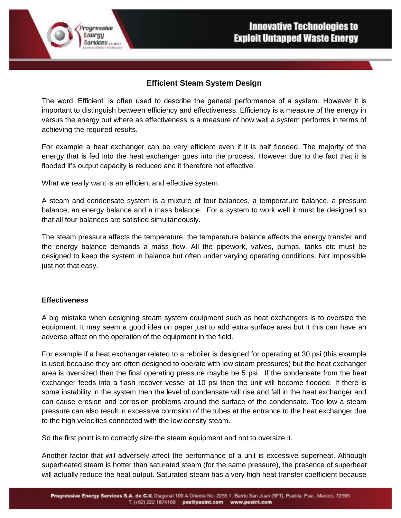# **Efficient Steam System Design**

The word 'Efficient' is often used to describe the general performance of a system. However it is important to distinguish between efficiency and effectiveness. Efficiency is a measure of the energy in versus the energy out where as effectiveness is a measure of how well a system performs in terms of achieving the required results.

For example a heat exchanger can be very efficient even if it is half flooded. The majority of the energy that is fed into the heat exchanger goes into the process. However due to the fact that it is flooded it's output capacity is reduced and it therefore not effective.

What we really want is an efficient and effective system.

rogressive Energy

**Services** *MARCH* 

A steam and condensate system is a mixture of four balances, a temperature balance, a pressure balance, an energy balance and a mass balance. For a system to work well it must be designed so that all four balances are satisfied simultaneously.

The steam pressure affects the temperature, the temperature balance affects the energy transfer and the energy balance demands a mass flow. All the pipework, valves, pumps, tanks etc must be designed to keep the system in balance but often under varying operating conditions. Not impossible just not that easy.

#### **Effectiveness**

A big mistake when designing steam system equipment such as heat exchangers is to oversize the equipment. It may seem a good idea on paper just to add extra surface area but it this can have an adverse affect on the operation of the equipment in the field.

For example if a heat exchanger related to a reboiler is designed for operating at 30 psi (this example is used because they are often designed to operate with low steam pressures) but the heat exchanger area is oversized then the final operating pressure maybe be 5 psi. If the condensate from the heat exchanger feeds into a flash recover vessel at 10 psi then the unit will become flooded. If there is some instability in the system then the level of condensate will rise and fall in the heat exchanger and can cause erosion and corrosion problems around the surface of the condensate. Too low a steam pressure can also result in excessive corrosion of the tubes at the entrance to the heat exchanger due to the high velocities connected with the low density steam.

So the first point is to correctly size the steam equipment and not to oversize it.

Another factor that will adversely affect the performance of a unit is excessive superheat. Although superheated steam is hotter than saturated steam (for the same pressure), the presence of superheat will actually reduce the heat output. Saturated steam has a very high heat transfer coefficient because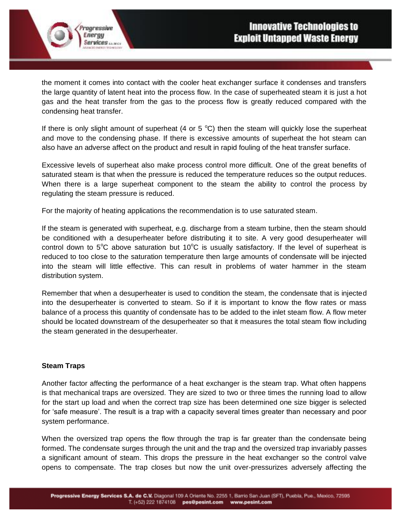the moment it comes into contact with the cooler heat exchanger surface it condenses and transfers the large quantity of latent heat into the process flow. In the case of superheated steam it is just a hot gas and the heat transfer from the gas to the process flow is greatly reduced compared with the condensing heat transfer.

If there is only slight amount of superheat (4 or 5  $^{\circ}$ C) then the steam will quickly lose the superheat and move to the condensing phase. If there is excessive amounts of superheat the hot steam can also have an adverse affect on the product and result in rapid fouling of the heat transfer surface.

Excessive levels of superheat also make process control more difficult. One of the great benefits of saturated steam is that when the pressure is reduced the temperature reduces so the output reduces. When there is a large superheat component to the steam the ability to control the process by regulating the steam pressure is reduced.

For the majority of heating applications the recommendation is to use saturated steam.

If the steam is generated with superheat, e.g. discharge from a steam turbine, then the steam should be conditioned with a desuperheater before distributing it to site. A very good desuperheater will control down to  $5^{\circ}$ C above saturation but 10 $^{\circ}$ C is usually satisfactory. If the level of superheat is reduced to too close to the saturation temperature then large amounts of condensate will be injected into the steam will little effective. This can result in problems of water hammer in the steam distribution system.

Remember that when a desuperheater is used to condition the steam, the condensate that is injected into the desuperheater is converted to steam. So if it is important to know the flow rates or mass balance of a process this quantity of condensate has to be added to the inlet steam flow. A flow meter should be located downstream of the desuperheater so that it measures the total steam flow including the steam generated in the desuperheater.

#### **Steam Traps**

rogressive Energy

**Services MARCH** 

Another factor affecting the performance of a heat exchanger is the steam trap. What often happens is that mechanical traps are oversized. They are sized to two or three times the running load to allow for the start up load and when the correct trap size has been determined one size bigger is selected for 'safe measure'. The result is a trap with a capacity several times greater than necessary and poor system performance.

When the oversized trap opens the flow through the trap is far greater than the condensate being formed. The condensate surges through the unit and the trap and the oversized trap invariably passes a significant amount of steam. This drops the pressure in the heat exchanger so the control valve opens to compensate. The trap closes but now the unit over-pressurizes adversely affecting the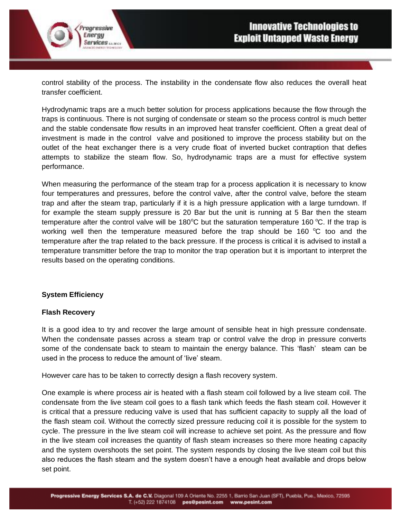control stability of the process. The instability in the condensate flow also reduces the overall heat transfer coefficient.

Hydrodynamic traps are a much better solution for process applications because the flow through the traps is continuous. There is not surging of condensate or steam so the process control is much better and the stable condensate flow results in an improved heat transfer coefficient. Often a great deal of investment is made in the control valve and positioned to improve the process stability but on the outlet of the heat exchanger there is a very crude float of inverted bucket contraption that defies attempts to stabilize the steam flow. So, hydrodynamic traps are a must for effective system performance.

When measuring the performance of the steam trap for a process application it is necessary to know four temperatures and pressures, before the control valve, after the control valve, before the steam trap and after the steam trap, particularly if it is a high pressure application with a large turndown. If for example the steam supply pressure is 20 Bar but the unit is running at 5 Bar then the steam temperature after the control valve will be 180 $\degree$ C but the saturation temperature 160 $\degree$ C. If the trap is working well then the temperature measured before the trap should be 160  $\degree$ C too and the temperature after the trap related to the back pressure. If the process is critical it is advised to install a temperature transmitter before the trap to monitor the trap operation but it is important to interpret the results based on the operating conditions.

#### **System Efficiency**

rogressive Energy

**Services** *MARCH* 

#### **Flash Recovery**

It is a good idea to try and recover the large amount of sensible heat in high pressure condensate. When the condensate passes across a steam trap or control valve the drop in pressure converts some of the condensate back to steam to maintain the energy balance. This 'flash' steam can be used in the process to reduce the amount of 'live' steam.

However care has to be taken to correctly design a flash recovery system.

One example is where process air is heated with a flash steam coil followed by a live steam coil. The condensate from the live steam coil goes to a flash tank which feeds the flash steam coil. However it is critical that a pressure reducing valve is used that has sufficient capacity to supply all the load of the flash steam coil. Without the correctly sized pressure reducing coil it is possible for the system to cycle. The pressure in the live steam coil will increase to achieve set point. As the pressure and flow in the live steam coil increases the quantity of flash steam increases so there more heating capacity and the system overshoots the set point. The system responds by closing the live steam coil but this also reduces the flash steam and the system doesn't have a enough heat available and drops below set point.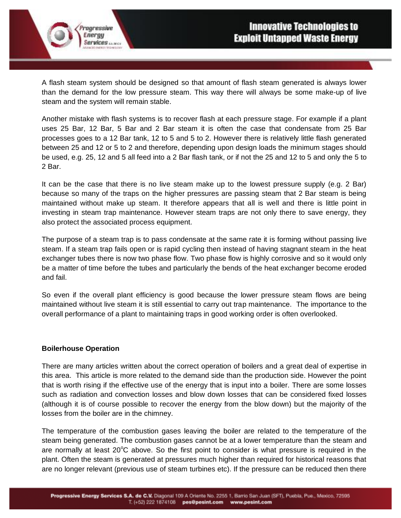A flash steam system should be designed so that amount of flash steam generated is always lower than the demand for the low pressure steam. This way there will always be some make-up of live steam and the system will remain stable.

Another mistake with flash systems is to recover flash at each pressure stage. For example if a plant uses 25 Bar, 12 Bar, 5 Bar and 2 Bar steam it is often the case that condensate from 25 Bar processes goes to a 12 Bar tank, 12 to 5 and 5 to 2. However there is relatively little flash generated between 25 and 12 or 5 to 2 and therefore, depending upon design loads the minimum stages should be used, e.g. 25, 12 and 5 all feed into a 2 Bar flash tank, or if not the 25 and 12 to 5 and only the 5 to 2 Bar.

It can be the case that there is no live steam make up to the lowest pressure supply (e.g. 2 Bar) because so many of the traps on the higher pressures are passing steam that 2 Bar steam is being maintained without make up steam. It therefore appears that all is well and there is little point in investing in steam trap maintenance. However steam traps are not only there to save energy, they also protect the associated process equipment.

The purpose of a steam trap is to pass condensate at the same rate it is forming without passing live steam. If a steam trap fails open or is rapid cycling then instead of having stagnant steam in the heat exchanger tubes there is now two phase flow. Two phase flow is highly corrosive and so it would only be a matter of time before the tubes and particularly the bends of the heat exchanger become eroded and fail.

So even if the overall plant efficiency is good because the lower pressure steam flows are being maintained without live steam it is still essential to carry out trap maintenance. The importance to the overall performance of a plant to maintaining traps in good working order is often overlooked.

## **Boilerhouse Operation**

rogressive Energy

**Services MARCH** 

There are many articles written about the correct operation of boilers and a great deal of expertise in this area. This article is more related to the demand side than the production side. However the point that is worth rising if the effective use of the energy that is input into a boiler. There are some losses such as radiation and convection losses and blow down losses that can be considered fixed losses (although it is of course possible to recover the energy from the blow down) but the majority of the losses from the boiler are in the chimney.

The temperature of the combustion gases leaving the boiler are related to the temperature of the steam being generated. The combustion gases cannot be at a lower temperature than the steam and are normally at least  $20^{\circ}$ C above. So the first point to consider is what pressure is required in the plant. Often the steam is generated at pressures much higher than required for historical reasons that are no longer relevant (previous use of steam turbines etc). If the pressure can be reduced then there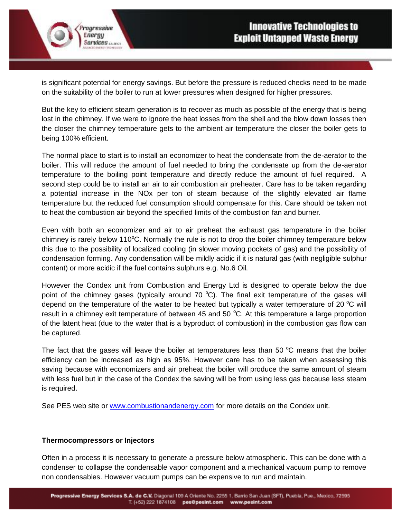is significant potential for energy savings. But before the pressure is reduced checks need to be made on the suitability of the boiler to run at lower pressures when designed for higher pressures.

But the key to efficient steam generation is to recover as much as possible of the energy that is being lost in the chimney. If we were to ignore the heat losses from the shell and the blow down losses then the closer the chimney temperature gets to the ambient air temperature the closer the boiler gets to being 100% efficient.

The normal place to start is to install an economizer to heat the condensate from the de-aerator to the boiler. This will reduce the amount of fuel needed to bring the condensate up from the de-aerator temperature to the boiling point temperature and directly reduce the amount of fuel required. A second step could be to install an air to air combustion air preheater. Care has to be taken regarding a potential increase in the NOx per ton of steam because of the slightly elevated air flame temperature but the reduced fuel consumption should compensate for this. Care should be taken not to heat the combustion air beyond the specified limits of the combustion fan and burner.

Even with both an economizer and air to air preheat the exhaust gas temperature in the boiler chimney is rarely below 110 $\degree$ C. Normally the rule is not to drop the boiler chimney temperature below this due to the possibility of localized cooling (in slower moving pockets of gas) and the possibility of condensation forming. Any condensation will be mildly acidic if it is natural gas (with negligible sulphur content) or more acidic if the fuel contains sulphurs e.g. No.6 Oil.

However the Condex unit from Combustion and Energy Ltd is designed to operate below the due point of the chimney gases (typically around 70  $^{\circ}$ C). The final exit temperature of the gases will depend on the temperature of the water to be heated but typically a water temperature of 20  $\degree$ C will result in a chimney exit temperature of between 45 and 50  $^{\circ}$ C. At this temperature a large proportion of the latent heat (due to the water that is a byproduct of combustion) in the combustion gas flow can be captured.

The fact that the gases will leave the boiler at temperatures less than 50  $\degree$ C means that the boiler efficiency can be increased as high as 95%. However care has to be taken when assessing this saving because with economizers and air preheat the boiler will produce the same amount of steam with less fuel but in the case of the Condex the saving will be from using less gas because less steam is required.

See PES web site or [www.combustionandenergy.com](http://www.combustionandenergy.com/) for more details on the Condex unit.

#### **Thermocompressors or Injectors**

rogressive Energy

**Services MARCH** 

Often in a process it is necessary to generate a pressure below atmospheric. This can be done with a condenser to collapse the condensable vapor component and a mechanical vacuum pump to remove non condensables. However vacuum pumps can be expensive to run and maintain.